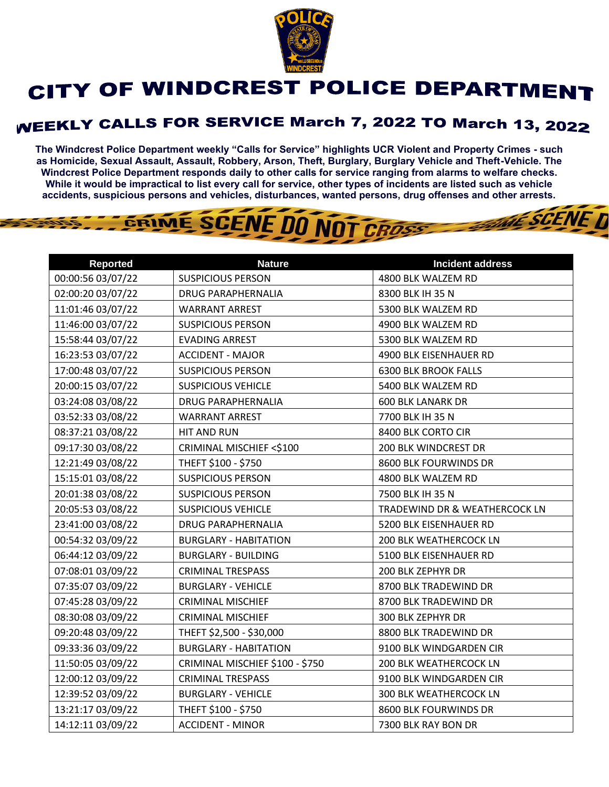

## CITY OF WINDCREST POLICE DEPARTMENT

## **WEEKLY CALLS FOR SERVICE March 7, 2022 TO March 13, 2022**

**The Windcrest Police Department weekly "Calls for Service" highlights UCR Violent and Property Crimes - such as Homicide, Sexual Assault, Assault, Robbery, Arson, Theft, Burglary, Burglary Vehicle and Theft-Vehicle. The Windcrest Police Department responds daily to other calls for service ranging from alarms to welfare checks. While it would be impractical to list every call for service, other types of incidents are listed such as vehicle accidents, suspicious persons and vehicles, disturbances, wanted persons, drug offenses and other arrests.** 

**WE SCENE T** 

## GRIME SCENE DO NOT CROSS

| <b>Reported</b>   | <b>Nature</b>                   | <b>Incident address</b>       |
|-------------------|---------------------------------|-------------------------------|
| 00:00:56 03/07/22 | <b>SUSPICIOUS PERSON</b>        | 4800 BLK WALZEM RD            |
| 02:00:20 03/07/22 | <b>DRUG PARAPHERNALIA</b>       | 8300 BLK IH 35 N              |
| 11:01:46 03/07/22 | <b>WARRANT ARREST</b>           | 5300 BLK WALZEM RD            |
| 11:46:00 03/07/22 | <b>SUSPICIOUS PERSON</b>        | 4900 BLK WALZEM RD            |
| 15:58:44 03/07/22 | <b>EVADING ARREST</b>           | 5300 BLK WALZEM RD            |
| 16:23:53 03/07/22 | <b>ACCIDENT - MAJOR</b>         | 4900 BLK EISENHAUER RD        |
| 17:00:48 03/07/22 | <b>SUSPICIOUS PERSON</b>        | <b>6300 BLK BROOK FALLS</b>   |
| 20:00:15 03/07/22 | <b>SUSPICIOUS VEHICLE</b>       | 5400 BLK WALZEM RD            |
| 03:24:08 03/08/22 | <b>DRUG PARAPHERNALIA</b>       | <b>600 BLK LANARK DR</b>      |
| 03:52:33 03/08/22 | <b>WARRANT ARREST</b>           | 7700 BLK IH 35 N              |
| 08:37:21 03/08/22 | HIT AND RUN                     | 8400 BLK CORTO CIR            |
| 09:17:30 03/08/22 | CRIMINAL MISCHIEF <\$100        | 200 BLK WINDCREST DR          |
| 12:21:49 03/08/22 | THEFT \$100 - \$750             | 8600 BLK FOURWINDS DR         |
| 15:15:01 03/08/22 | <b>SUSPICIOUS PERSON</b>        | 4800 BLK WALZEM RD            |
| 20:01:38 03/08/22 | <b>SUSPICIOUS PERSON</b>        | 7500 BLK IH 35 N              |
| 20:05:53 03/08/22 | <b>SUSPICIOUS VEHICLE</b>       | TRADEWIND DR & WEATHERCOCK LN |
| 23:41:00 03/08/22 | <b>DRUG PARAPHERNALIA</b>       | 5200 BLK EISENHAUER RD        |
| 00:54:32 03/09/22 | <b>BURGLARY - HABITATION</b>    | 200 BLK WEATHERCOCK LN        |
| 06:44:12 03/09/22 | <b>BURGLARY - BUILDING</b>      | 5100 BLK EISENHAUER RD        |
| 07:08:01 03/09/22 | <b>CRIMINAL TRESPASS</b>        | 200 BLK ZEPHYR DR             |
| 07:35:07 03/09/22 | <b>BURGLARY - VEHICLE</b>       | 8700 BLK TRADEWIND DR         |
| 07:45:28 03/09/22 | <b>CRIMINAL MISCHIEF</b>        | 8700 BLK TRADEWIND DR         |
| 08:30:08 03/09/22 | <b>CRIMINAL MISCHIEF</b>        | 300 BLK ZEPHYR DR             |
| 09:20:48 03/09/22 | THEFT \$2,500 - \$30,000        | 8800 BLK TRADEWIND DR         |
| 09:33:36 03/09/22 | <b>BURGLARY - HABITATION</b>    | 9100 BLK WINDGARDEN CIR       |
| 11:50:05 03/09/22 | CRIMINAL MISCHIEF \$100 - \$750 | <b>200 BLK WEATHERCOCK LN</b> |
| 12:00:12 03/09/22 | <b>CRIMINAL TRESPASS</b>        | 9100 BLK WINDGARDEN CIR       |
| 12:39:52 03/09/22 | <b>BURGLARY - VEHICLE</b>       | 300 BLK WEATHERCOCK LN        |
| 13:21:17 03/09/22 | THEFT \$100 - \$750             | 8600 BLK FOURWINDS DR         |
| 14:12:11 03/09/22 | <b>ACCIDENT - MINOR</b>         | 7300 BLK RAY BON DR           |